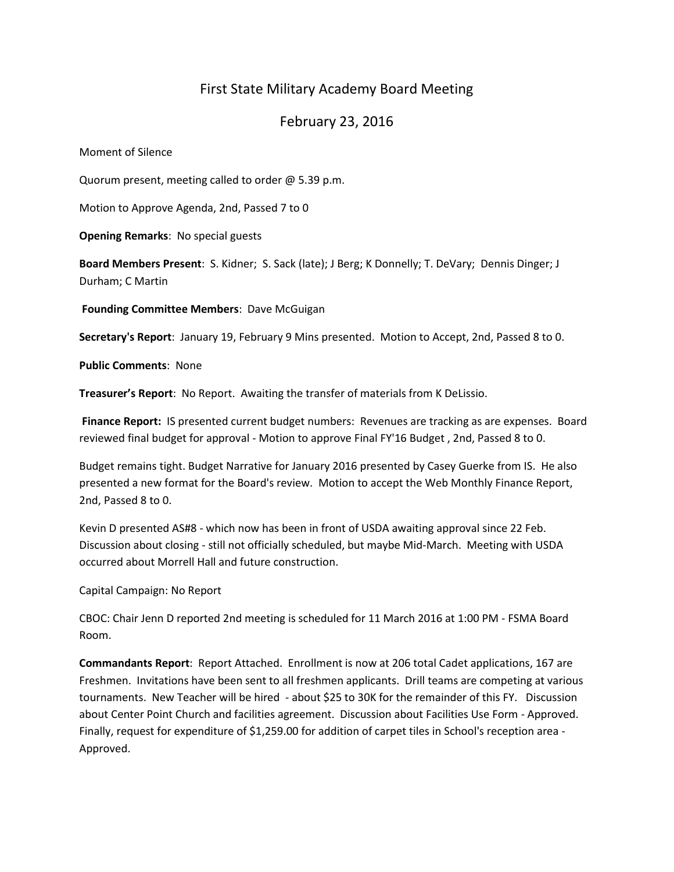# First State Military Academy Board Meeting

## February 23, 2016

Moment of Silence

Quorum present, meeting called to order @ 5.39 p.m.

Motion to Approve Agenda, 2nd, Passed 7 to 0

**Opening Remarks**: No special guests

**Board Members Present**: S. Kidner; S. Sack (late); J Berg; K Donnelly; T. DeVary; Dennis Dinger; J Durham; C Martin

**Founding Committee Members**: Dave McGuigan

**Secretary's Report**: January 19, February 9 Mins presented. Motion to Accept, 2nd, Passed 8 to 0.

**Public Comments**: None

**Treasurer's Report**: No Report. Awaiting the transfer of materials from K DeLissio.

**Finance Report:** IS presented current budget numbers: Revenues are tracking as are expenses. Board reviewed final budget for approval - Motion to approve Final FY'16 Budget , 2nd, Passed 8 to 0.

Budget remains tight. Budget Narrative for January 2016 presented by Casey Guerke from IS. He also presented a new format for the Board's review. Motion to accept the Web Monthly Finance Report, 2nd, Passed 8 to 0.

Kevin D presented AS#8 - which now has been in front of USDA awaiting approval since 22 Feb. Discussion about closing - still not officially scheduled, but maybe Mid-March. Meeting with USDA occurred about Morrell Hall and future construction.

Capital Campaign: No Report

CBOC: Chair Jenn D reported 2nd meeting is scheduled for 11 March 2016 at 1:00 PM - FSMA Board Room.

**Commandants Report**: Report Attached. Enrollment is now at 206 total Cadet applications, 167 are Freshmen. Invitations have been sent to all freshmen applicants. Drill teams are competing at various tournaments. New Teacher will be hired - about \$25 to 30K for the remainder of this FY. Discussion about Center Point Church and facilities agreement. Discussion about Facilities Use Form - Approved. Finally, request for expenditure of \$1,259.00 for addition of carpet tiles in School's reception area - Approved.